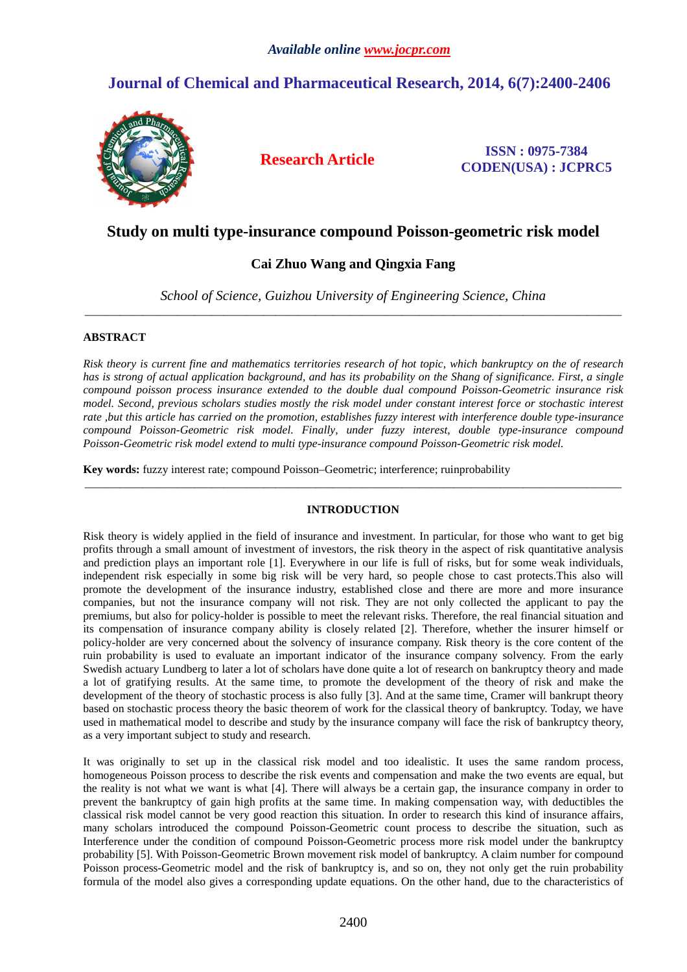# **Journal of Chemical and Pharmaceutical Research, 2014, 6(7):2400-2406**



**Research Article ISSN : 0975-7384 CODEN(USA) : JCPRC5**

## **Study on multi type-insurance compound Poisson-geometric risk model**

## **Cai Zhuo Wang and Qingxia Fang**

*School of Science, Guizhou University of Engineering Science, China*  \_\_\_\_\_\_\_\_\_\_\_\_\_\_\_\_\_\_\_\_\_\_\_\_\_\_\_\_\_\_\_\_\_\_\_\_\_\_\_\_\_\_\_\_\_\_\_\_\_\_\_\_\_\_\_\_\_\_\_\_\_\_\_\_\_\_\_\_\_\_\_\_\_\_\_\_\_\_\_\_\_\_\_\_\_\_\_\_\_\_\_\_\_

## **ABSTRACT**

*Risk theory is current fine and mathematics territories research of hot topic, which bankruptcy on the of research has is strong of actual application background, and has its probability on the Shang of significance. First, a single compound poisson process insurance extended to the double dual compound Poisson-Geometric insurance risk model. Second, previous scholars studies mostly the risk model under constant interest force or stochastic interest rate ,but this article has carried on the promotion, establishes fuzzy interest with interference double type-insurance compound Poisson-Geometric risk model. Finally, under fuzzy interest, double type-insurance compound Poisson-Geometric risk model extend to multi type-insurance compound Poisson-Geometric risk model.* 

**Key words:** fuzzy interest rate; compound Poisson–Geometric; interference; ruinprobability

## **INTRODUCTION**

\_\_\_\_\_\_\_\_\_\_\_\_\_\_\_\_\_\_\_\_\_\_\_\_\_\_\_\_\_\_\_\_\_\_\_\_\_\_\_\_\_\_\_\_\_\_\_\_\_\_\_\_\_\_\_\_\_\_\_\_\_\_\_\_\_\_\_\_\_\_\_\_\_\_\_\_\_\_\_\_\_\_\_\_\_\_\_\_\_\_\_\_\_

Risk theory is widely applied in the field of insurance and investment. In particular, for those who want to get big profits through a small amount of investment of investors, the risk theory in the aspect of risk quantitative analysis and prediction plays an important role [1]. Everywhere in our life is full of risks, but for some weak individuals, independent risk especially in some big risk will be very hard, so people chose to cast protects.This also will promote the development of the insurance industry, established close and there are more and more insurance companies, but not the insurance company will not risk. They are not only collected the applicant to pay the premiums, but also for policy-holder is possible to meet the relevant risks. Therefore, the real financial situation and its compensation of insurance company ability is closely related [2]. Therefore, whether the insurer himself or policy-holder are very concerned about the solvency of insurance company. Risk theory is the core content of the ruin probability is used to evaluate an important indicator of the insurance company solvency. From the early Swedish actuary Lundberg to later a lot of scholars have done quite a lot of research on bankruptcy theory and made a lot of gratifying results. At the same time, to promote the development of the theory of risk and make the development of the theory of stochastic process is also fully [3]. And at the same time, Cramer will bankrupt theory based on stochastic process theory the basic theorem of work for the classical theory of bankruptcy. Today, we have used in mathematical model to describe and study by the insurance company will face the risk of bankruptcy theory, as a very important subject to study and research.

It was originally to set up in the classical risk model and too idealistic. It uses the same random process, homogeneous Poisson process to describe the risk events and compensation and make the two events are equal, but the reality is not what we want is what [4]. There will always be a certain gap, the insurance company in order to prevent the bankruptcy of gain high profits at the same time. In making compensation way, with deductibles the classical risk model cannot be very good reaction this situation. In order to research this kind of insurance affairs, many scholars introduced the compound Poisson-Geometric count process to describe the situation, such as Interference under the condition of compound Poisson-Geometric process more risk model under the bankruptcy probability [5]. With Poisson-Geometric Brown movement risk model of bankruptcy. A claim number for compound Poisson process-Geometric model and the risk of bankruptcy is, and so on, they not only get the ruin probability formula of the model also gives a corresponding update equations. On the other hand, due to the characteristics of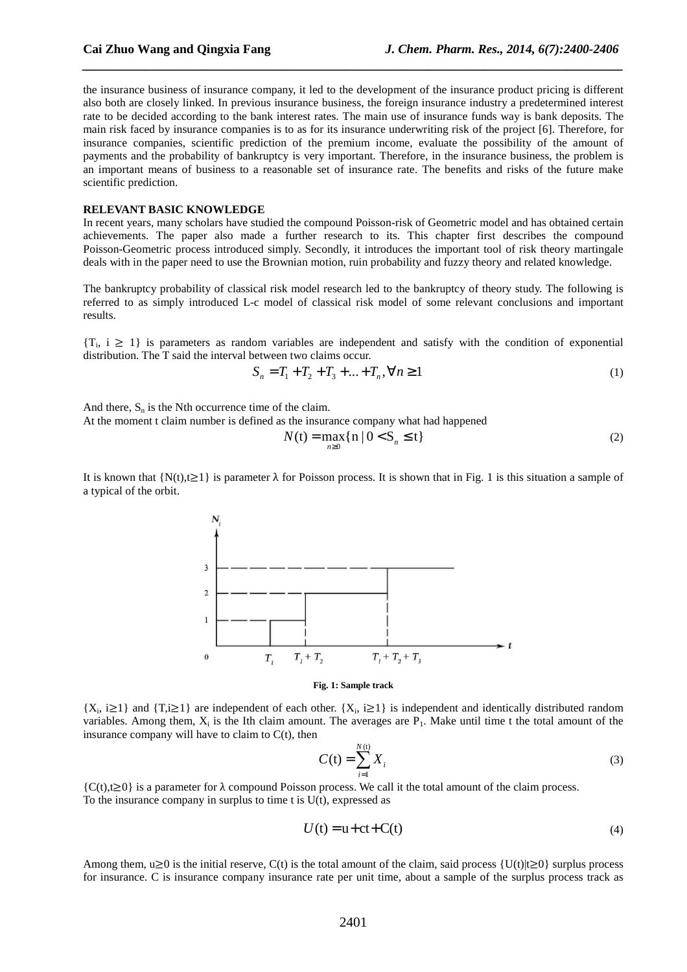the insurance business of insurance company, it led to the development of the insurance product pricing is different also both are closely linked. In previous insurance business, the foreign insurance industry a predetermined interest rate to be decided according to the bank interest rates. The main use of insurance funds way is bank deposits. The main risk faced by insurance companies is to as for its insurance underwriting risk of the project [6]. Therefore, for insurance companies, scientific prediction of the premium income, evaluate the possibility of the amount of payments and the probability of bankruptcy is very important. Therefore, in the insurance business, the problem is an important means of business to a reasonable set of insurance rate. The benefits and risks of the future make scientific prediction.

*\_\_\_\_\_\_\_\_\_\_\_\_\_\_\_\_\_\_\_\_\_\_\_\_\_\_\_\_\_\_\_\_\_\_\_\_\_\_\_\_\_\_\_\_\_\_\_\_\_\_\_\_\_\_\_\_\_\_\_\_\_\_\_\_\_\_\_\_\_\_\_\_\_\_\_\_\_\_*

### **RELEVANT BASIC KNOWLEDGE**

In recent years, many scholars have studied the compound Poisson-risk of Geometric model and has obtained certain achievements. The paper also made a further research to its. This chapter first describes the compound Poisson-Geometric process introduced simply. Secondly, it introduces the important tool of risk theory martingale deals with in the paper need to use the Brownian motion, ruin probability and fuzzy theory and related knowledge.

The bankruptcy probability of classical risk model research led to the bankruptcy of theory study. The following is referred to as simply introduced L-c model of classical risk model of some relevant conclusions and important results.

 $\{T_i, i \geq 1\}$  is parameters as random variables are independent and satisfy with the condition of exponential distribution. The T said the interval between two claims occur.

$$
S_n = T_1 + T_2 + T_3 + \dots + T_n, \forall n \ge 1
$$
\n<sup>(1)</sup>

And there,  $S_n$  is the Nth occurrence time of the claim.

At the moment t claim number is defined as the insurance company what had happened

$$
N(t) = \max_{n \ge 0} \{ n \mid 0 < S_n \le t \} \tag{2}
$$

It is known that  $\{N(t), t\geq 1\}$  is parameter  $\lambda$  for Poisson process. It is shown that in Fig. 1 is this situation a sample of a typical of the orbit.



#### **Fig. 1: Sample track**

 $\{X_i, i \geq 1\}$  and  $\{\overline{T}, i \geq 1\}$  are independent of each other.  $\{X_i, i \geq 1\}$  is independent and identically distributed random variables. Among them,  $X_i$  is the Ith claim amount. The averages are  $P_1$ . Make until time t the total amount of the insurance company will have to claim to  $C(t)$ , then

$$
C(t) = \sum_{i=1}^{N(t)} X_i
$$
 (3)

 ${C(t), t\geq 0}$  is a parameter for  $\lambda$  compound Poisson process. We call it the total amount of the claim process. To the insurance company in surplus to time  $t$  is  $U(t)$ , expressed as

$$
U(t) = u + ct + C(t)
$$
\n<sup>(4)</sup>

Among them, u≥0 is the initial reserve, C(t) is the total amount of the claim, said process  $\{U(t)|t\geq 0\}$  surplus process for insurance. C is insurance company insurance rate per unit time, about a sample of the surplus process track as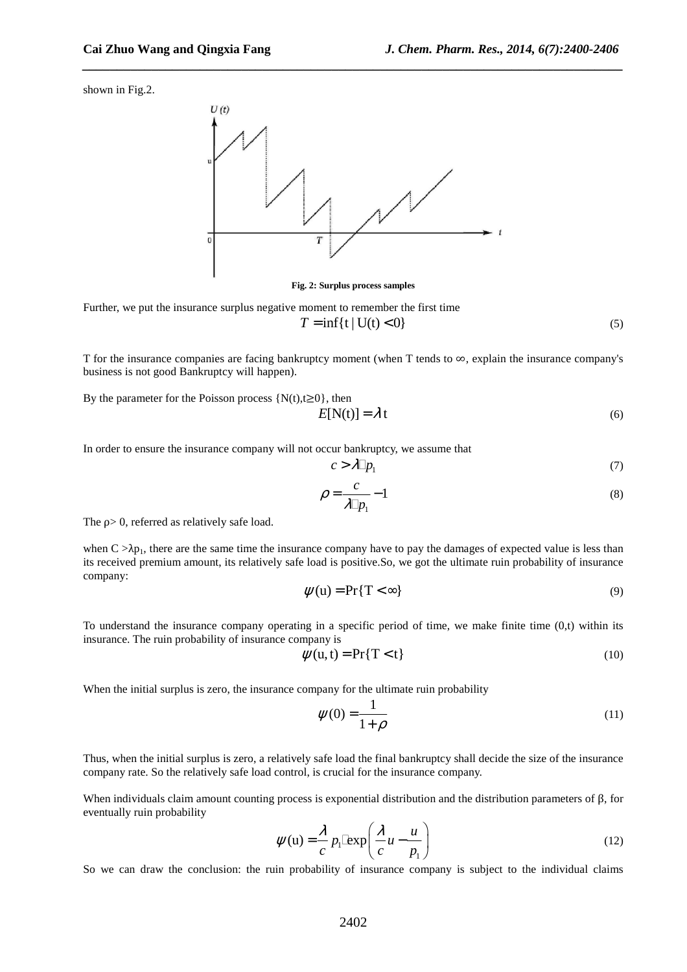shown in Fig.2.



*\_\_\_\_\_\_\_\_\_\_\_\_\_\_\_\_\_\_\_\_\_\_\_\_\_\_\_\_\_\_\_\_\_\_\_\_\_\_\_\_\_\_\_\_\_\_\_\_\_\_\_\_\_\_\_\_\_\_\_\_\_\_\_\_\_\_\_\_\_\_\_\_\_\_\_\_\_\_*

**Fig. 2: Surplus process samples** 

Further, we put the insurance surplus negative moment to remember the first time

$$
T = \inf\{t \mid U(t) < 0\} \tag{5}
$$

T for the insurance companies are facing bankruptcy moment (when T tends to ∞, explain the insurance company's business is not good Bankruptcy will happen).

By the parameter for the Poisson process  $\{N(t), t\geq 0\}$ , then

$$
E[N(t)] = \lambda t \tag{6}
$$

In order to ensure the insurance company will not occur bankruptcy, we assume that

$$
c > \lambda \, p_1 \tag{7}
$$

$$
\rho = \frac{c}{\lambda p_1} - 1\tag{8}
$$

The ρ> 0, referred as relatively safe load.

when  $C > \lambda p_1$ , there are the same time the insurance company have to pay the damages of expected value is less than its received premium amount, its relatively safe load is positive.So, we got the ultimate ruin probability of insurance company:

$$
\psi(u) = \Pr\{T < \infty\} \tag{9}
$$

To understand the insurance company operating in a specific period of time, we make finite time  $(0,t)$  within its insurance. The ruin probability of insurance company is

$$
\psi(u, t) = \Pr\{T < t\} \tag{10}
$$

When the initial surplus is zero, the insurance company for the ultimate ruin probability

$$
\psi(0) = \frac{1}{1+\rho} \tag{11}
$$

Thus, when the initial surplus is zero, a relatively safe load the final bankruptcy shall decide the size of the insurance company rate. So the relatively safe load control, is crucial for the insurance company.

When individuals claim amount counting process is exponential distribution and the distribution parameters of β, for eventually ruin probability

$$
\psi(\mathbf{u}) = \frac{\lambda}{c} p_1 \exp\left(\frac{\lambda}{c}u - \frac{u}{p_1}\right) \tag{12}
$$

So we can draw the conclusion: the ruin probability of insurance company is subject to the individual claims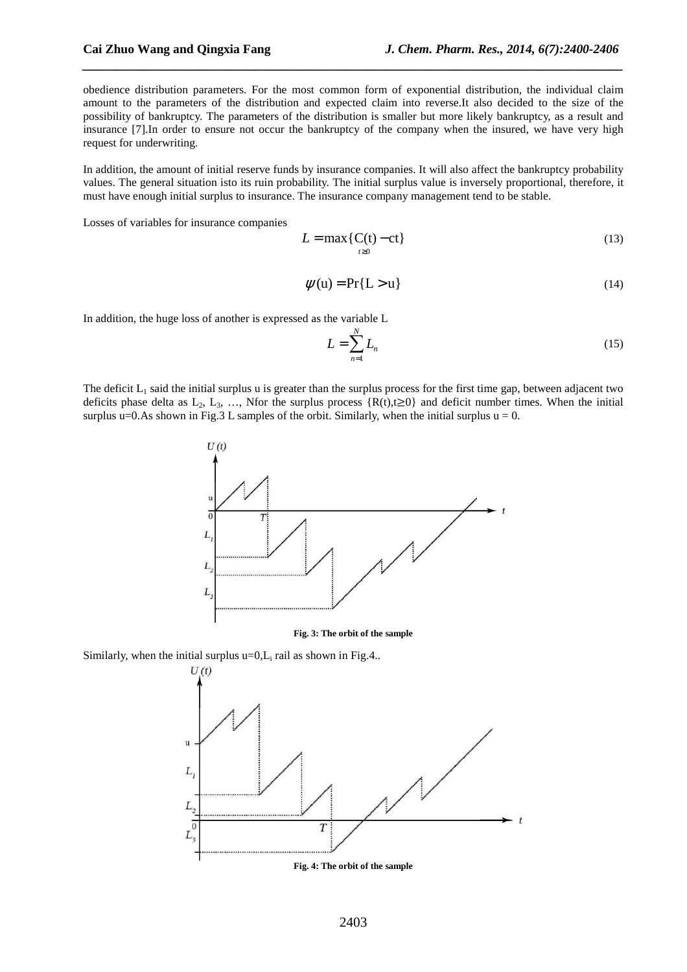obedience distribution parameters. For the most common form of exponential distribution, the individual claim amount to the parameters of the distribution and expected claim into reverse.It also decided to the size of the possibility of bankruptcy. The parameters of the distribution is smaller but more likely bankruptcy, as a result and insurance [7].In order to ensure not occur the bankruptcy of the company when the insured, we have very high request for underwriting.

*\_\_\_\_\_\_\_\_\_\_\_\_\_\_\_\_\_\_\_\_\_\_\_\_\_\_\_\_\_\_\_\_\_\_\_\_\_\_\_\_\_\_\_\_\_\_\_\_\_\_\_\_\_\_\_\_\_\_\_\_\_\_\_\_\_\_\_\_\_\_\_\_\_\_\_\_\_\_*

In addition, the amount of initial reserve funds by insurance companies. It will also affect the bankruptcy probability values. The general situation isto its ruin probability. The initial surplus value is inversely proportional, therefore, it must have enough initial surplus to insurance. The insurance company management tend to be stable.

Losses of variables for insurance companies

$$
L = \max\{C(t) - ct\} \tag{13}
$$

$$
\psi(u) = \Pr\{L > u\} \tag{14}
$$

In addition, the huge loss of another is expressed as the variable L

$$
L = \sum_{n=1}^{N} L_n \tag{15}
$$

The deficit  $L_1$  said the initial surplus u is greater than the surplus process for the first time gap, between adjacent two deficits phase delta as L<sub>2</sub>, L<sub>3</sub>, …, Nfor the surplus process {R(t),t≥0} and deficit number times. When the initial surplus u=0.As shown in Fig.3 L samples of the orbit. Similarly, when the initial surplus  $u = 0$ .



**Fig. 3: The orbit of the sample** 

Similarly, when the initial surplus  $u=0, L_i$  rail as shown in Fig.4..

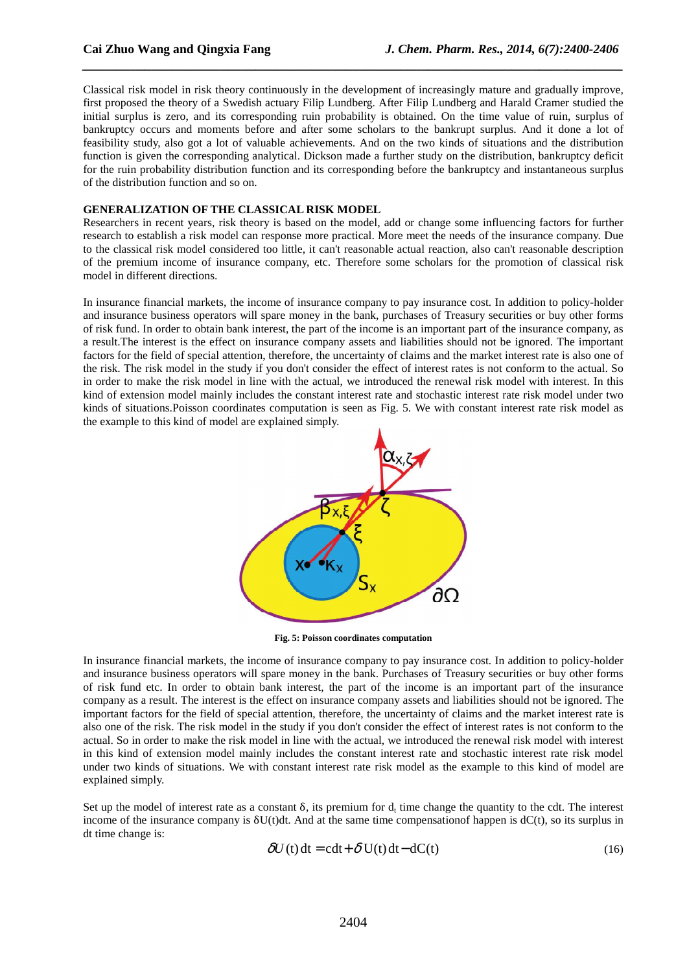Classical risk model in risk theory continuously in the development of increasingly mature and gradually improve, first proposed the theory of a Swedish actuary Filip Lundberg. After Filip Lundberg and Harald Cramer studied the initial surplus is zero, and its corresponding ruin probability is obtained. On the time value of ruin, surplus of bankruptcy occurs and moments before and after some scholars to the bankrupt surplus. And it done a lot of feasibility study, also got a lot of valuable achievements. And on the two kinds of situations and the distribution function is given the corresponding analytical. Dickson made a further study on the distribution, bankruptcy deficit for the ruin probability distribution function and its corresponding before the bankruptcy and instantaneous surplus of the distribution function and so on.

*\_\_\_\_\_\_\_\_\_\_\_\_\_\_\_\_\_\_\_\_\_\_\_\_\_\_\_\_\_\_\_\_\_\_\_\_\_\_\_\_\_\_\_\_\_\_\_\_\_\_\_\_\_\_\_\_\_\_\_\_\_\_\_\_\_\_\_\_\_\_\_\_\_\_\_\_\_\_*

### **GENERALIZATION OF THE CLASSICAL RISK MODEL**

Researchers in recent years, risk theory is based on the model, add or change some influencing factors for further research to establish a risk model can response more practical. More meet the needs of the insurance company. Due to the classical risk model considered too little, it can't reasonable actual reaction, also can't reasonable description of the premium income of insurance company, etc. Therefore some scholars for the promotion of classical risk model in different directions.

In insurance financial markets, the income of insurance company to pay insurance cost. In addition to policy-holder and insurance business operators will spare money in the bank, purchases of Treasury securities or buy other forms of risk fund. In order to obtain bank interest, the part of the income is an important part of the insurance company, as a result.The interest is the effect on insurance company assets and liabilities should not be ignored. The important factors for the field of special attention, therefore, the uncertainty of claims and the market interest rate is also one of the risk. The risk model in the study if you don't consider the effect of interest rates is not conform to the actual. So in order to make the risk model in line with the actual, we introduced the renewal risk model with interest. In this kind of extension model mainly includes the constant interest rate and stochastic interest rate risk model under two kinds of situations.Poisson coordinates computation is seen as Fig. 5. We with constant interest rate risk model as the example to this kind of model are explained simply.



**Fig. 5: Poisson coordinates computation** 

In insurance financial markets, the income of insurance company to pay insurance cost. In addition to policy-holder and insurance business operators will spare money in the bank. Purchases of Treasury securities or buy other forms of risk fund etc. In order to obtain bank interest, the part of the income is an important part of the insurance company as a result. The interest is the effect on insurance company assets and liabilities should not be ignored. The important factors for the field of special attention, therefore, the uncertainty of claims and the market interest rate is also one of the risk. The risk model in the study if you don't consider the effect of interest rates is not conform to the actual. So in order to make the risk model in line with the actual, we introduced the renewal risk model with interest in this kind of extension model mainly includes the constant interest rate and stochastic interest rate risk model under two kinds of situations. We with constant interest rate risk model as the example to this kind of model are explained simply.

Set up the model of interest rate as a constant  $\delta$ , its premium for  $d_t$  time change the quantity to the cdt. The interest income of the insurance company is  $\delta U(t)dt$ . And at the same time compensationof happen is  $dC(t)$ , so its surplus in dt time change is:

$$
\delta U(t) dt = c dt + \delta U(t) dt - dC(t)
$$
\n(16)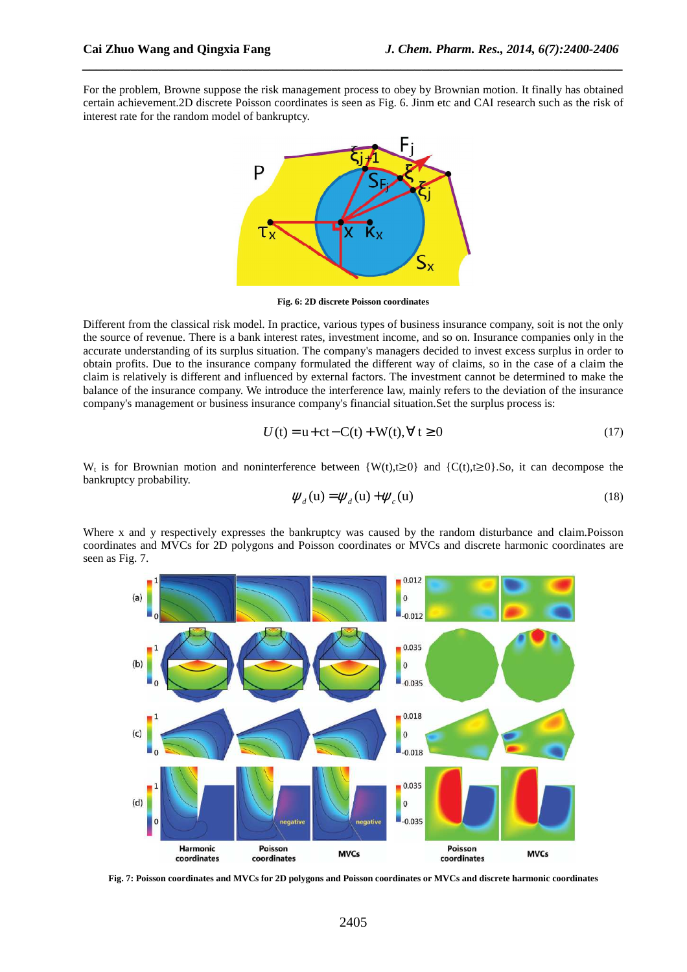For the problem, Browne suppose the risk management process to obey by Brownian motion. It finally has obtained certain achievement.2D discrete Poisson coordinates is seen as Fig. 6. Jinm etc and CAI research such as the risk of interest rate for the random model of bankruptcy.

*\_\_\_\_\_\_\_\_\_\_\_\_\_\_\_\_\_\_\_\_\_\_\_\_\_\_\_\_\_\_\_\_\_\_\_\_\_\_\_\_\_\_\_\_\_\_\_\_\_\_\_\_\_\_\_\_\_\_\_\_\_\_\_\_\_\_\_\_\_\_\_\_\_\_\_\_\_\_*



**Fig. 6: 2D discrete Poisson coordinates** 

Different from the classical risk model. In practice, various types of business insurance company, soit is not the only the source of revenue. There is a bank interest rates, investment income, and so on. Insurance companies only in the accurate understanding of its surplus situation. The company's managers decided to invest excess surplus in order to obtain profits. Due to the insurance company formulated the different way of claims, so in the case of a claim the claim is relatively is different and influenced by external factors. The investment cannot be determined to make the balance of the insurance company. We introduce the interference law, mainly refers to the deviation of the insurance company's management or business insurance company's financial situation.Set the surplus process is:

$$
U(t) = u + ct - C(t) + W(t), \forall t \ge 0
$$
\n(17)

W<sub>t</sub> is for Brownian motion and noninterference between  $\{W(t), t\geq 0\}$  and  $\{C(t), t\geq 0\}$ . So, it can decompose the bankruptcy probability.

$$
\psi_d(\mathbf{u}) = \psi_d(\mathbf{u}) + \psi_c(\mathbf{u})
$$
\n(18)

Where x and y respectively expresses the bankruptcy was caused by the random disturbance and claim. Poisson coordinates and MVCs for 2D polygons and Poisson coordinates or MVCs and discrete harmonic coordinates are seen as Fig. 7.



**Fig. 7: Poisson coordinates and MVCs for 2D polygons and Poisson coordinates or MVCs and discrete harmonic coordinates**